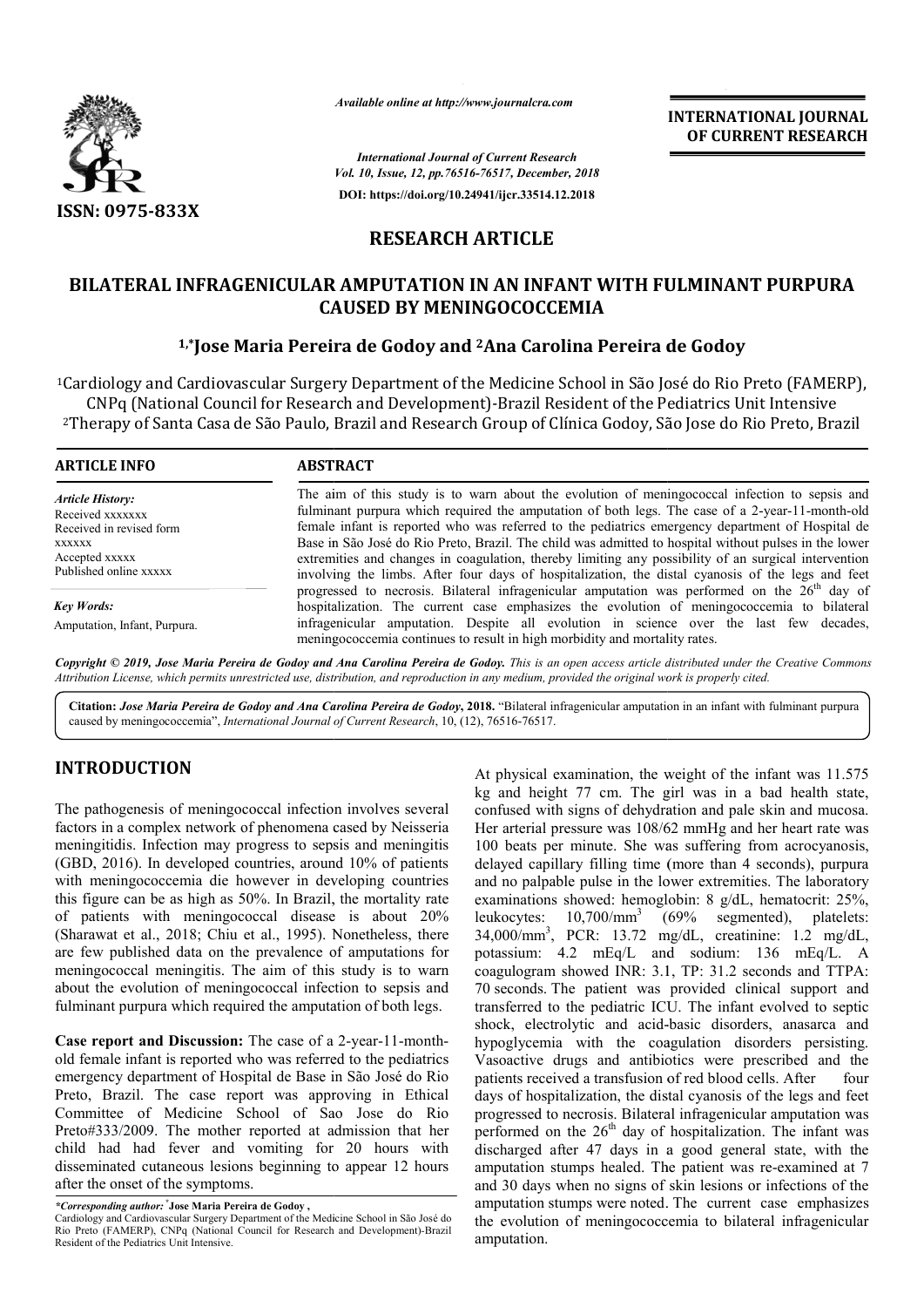

*Available online at http://www.journalcra.com*

*International Journal of Current Research Vol. 10, Issue, 12, pp.76516-76517, December, 2018* **DOI: https://doi.org/10.24941/ijcr.33514.12.2018**

**INTERNATIONAL JOURNAL OF CURRENT RESEARCH**

## **RESEARCH ARTICLE**

# BILATERAL INFRAGENICULAR AMPUTATION IN AN INFANT WITH FULMINANT PURPURA<br>CAUSED BY MENINGOCOCCEMIA<br><sup>1,\*</sup>Jose Maria Pereira de Godoy and <sup>2</sup>Ana Carolina Pereira de Godoy **CAUSED BY MENINGOCOCCEMIA**

#### **1,\*Jose Maria Pereira de Godoy Jose and 2Ana Carolina Pereira de Godoy**

<sup>1</sup>Cardiology and Cardiovascular Surgery Department of the Medicine School in São José do Rio Preto (FAMERP),<br>CNPq (National Council for Research and Development)*-Brazil Resident of the Pediatrics Unit Intensive* CNPq (National Council for Research and <sup>2</sup>Therapy of Santa Casa de São Paulo, Brazil and Research Group of Clínica Godoy, São Jose do Rio Preto, Brazil

| <b>ARTICLE INFO</b>                                                                                 | <b>ABSTRACT</b>                                                                                                                                                                                                                                                                                                                                                                                                                                                                                                        |
|-----------------------------------------------------------------------------------------------------|------------------------------------------------------------------------------------------------------------------------------------------------------------------------------------------------------------------------------------------------------------------------------------------------------------------------------------------------------------------------------------------------------------------------------------------------------------------------------------------------------------------------|
| <b>Article History:</b><br>Received xxxxxxx<br>Received in revised form<br>XXXXXX<br>Accepted xxxxx | The aim of this study is to warn about the evolution of mening occocal infection to sepsis and<br>fulminant purpura which required the amputation of both legs. The case of a 2-year-11-month-old<br>female infant is reported who was referred to the pediatrics emergency department of Hospital de<br>Base in São José do Rio Preto, Brazil. The child was admitted to hospital without pulses in the lower<br>extremities and changes in coagulation, thereby limiting any possibility of an surgical intervention |
| Published online xxxxx                                                                              | involving the limbs. After four days of hospitalization, the distal cyanosis of the legs and feet<br>progressed to necrosis. Bilateral infragenicular amputation was performed on the $26th$ day of                                                                                                                                                                                                                                                                                                                    |
| <b>Key Words:</b>                                                                                   | hospitalization. The current case emphasizes the evolution of meningococcemia to bilateral                                                                                                                                                                                                                                                                                                                                                                                                                             |
| Amputation, Infant, Purpura.                                                                        | infragenicular amputation. Despite all evolution in science over the last few decades,<br>mening occurring continues to result in high morbidity and mortality rates.                                                                                                                                                                                                                                                                                                                                                  |

Copyright © 2019, Jose Maria Pereira de Godoy and Ana Carolina Pereira de Godoy. This is an open access article distributed under the Creative Commons Attribution License, which permits unrestricted use, distribution, and reproduction in any medium, provided the original work is properly cited.

Citation: Jose Maria Pereira de Godoy and Ana Carolina Pereira de Godoy, 2018. "Bilateral infragenicular amputation in an infant with fulminant purpura caused by meningococcemia", *International Journal of Current Research* , 10, (12), 76516-76517.

### **INTRODUCTION**

The pathogenesis of meningococcal infection involves several factors in a complex network of phenomena cased by Neisseria meningitidis. Infection may progress to sepsis and meningitis (GBD, 2016). In developed countries, around 10% of patients with meningococcemia die however in developing countries this figure can be as high as 50%. In Brazil, the mortality rate of patients with meningococcal disease is about 20% (Sharawat et al., 2018; Chiu et al., 1995). Nonetheless, there are few published data on the prevalence of amputations for meningococcal meningitis. The aim of this study is to warn about the evolution of meningococcal infection to sepsis and fulminant purpura which required the amputation of both legs. . Infection may progress to sepsis and meningitis<br>
). In developed countries, around 10% of patients<br>
gococcemia die however in developing countries<br>
an be as high as 50%. In Brazil, the mortality rate<br>
with meningococcal

**Case report and Discussion:** The case of a 2-year-11-monthold female infant is reported who was referred to the pediatrics emergency department of Hospital de Base in São José do Rio Preto, Brazil. The case report was approving in Ethical Committee of Medicine School of Sao Jose do Rio Preto#333/2009. The mother reported at admission that her child had had fever and vomiting for 20 hours with disseminated cutaneous lesions beginning to appear 12 hours after the onset of the symptoms.

*\*Corresponding author:* **\* Jose Maria Pereira de Godoy ,**

At physical examination, the weight of the infant was 11.575 kg and height 77 cm. The girl was in a bad health state, confused with signs of dehydration and pale skin and mucosa. Her arterial pressure was 108/62 mmHg and her heart rate was 100 beats per minute. She was suffering from acrocyanosis, delayed capillary filling time (more than 4 seconds), purpura and no palpable pulse in the lower extremities. The laboratory examinations showed: hemoglobin: 8 g/dL, hematocrit: 25%, leukocytes: 10,700/mm3 (69% segmented), platelets: 34,000/mm3 , PCR: 13.72 mg/dL, creatinine: 1.2 mg/dL, potassium: 4.2 mEq/L and sodium: 136 mEq/L. A coagulogram showed INR: 3.1, TP: 31.2 seconds and TTPA: 70 seconds. The patient was provided clinical support and transferred to the pediatric ICU. The infant evolved to septic shock, electrolytic and acid-basic disorders, anasarca and hypoglycemia with the coagulation disorders persisting. Vasoactive drugs and antibiotics were prescribed and the patients received a transfusion of red blood cells. days of hospitalization, the distal cyanosis of the legs and feet progressed to necrosis. Bilateral infragenicular amputation was performed on the  $26<sup>th</sup>$  day of hospitalization. The infant was discharged after 47 days in a good general state, with the amputation stumps healed. The patient was re-examined at 7 and 30 days when no signs of skin lesions or infections of the and 30 days when no signs of skin lesions or infections of the amputation stumps were noted. The current case emphasizes the evolution of meningococcemia to bilateral infragenicular amputation. At physical examination, the weight of the infant was 11.575 kg and height 77 cm. The girl was in a bad health state, confused with signs of dehydration and pale skin and mucosa. Her arterial pressure was 108/62 mmHg and h palpable pulse in the lower extremities. The laboratory<br>tions showed: hemoglobin: 8 g/dL, hematocrit: 25%,<br>tes:  $10,700/\text{mm}^3$  (69% segmented), platelets:<br>mm<sup>3</sup>, PCR: 13.72 mg/dL, creatinine: 1.2 mg/dL,<br>m: 4.2 mEq/L and hypoglycemia with the coagulation disorders persisting.<br>Vasoactive drugs and antibiotics were prescribed and the<br>patients received a transfusion of red blood cells. After four performed on the  $26^{\text{m}}$  day of hospitalization. The infant was discharged after 47 days in a good general state, with the amputation stumps healed. The patient was re-examined at 7 **EVERENATIONAL JOURNAL FORM SCRAIM CONSUMPARENT (FIGREMATIONAL JOURNAL FOR MERCHAT CONSULTERED (FIGREMENT RESERARCH (FIGREMENT RESERARCH (FIGREMENT) (FIGREMENT WITH FULLMINANT PURPURA COCCEMIA (FIGREMENT) (FIGREMENT) (FIG** 

Cardiology and Cardiovascular Surgery Department of the Medicine School in São José do Rio Preto (FAMERP), CNPq (National Council for Research and Development)*-*Brazil Resident of the Pediatrics Unit Intensive.